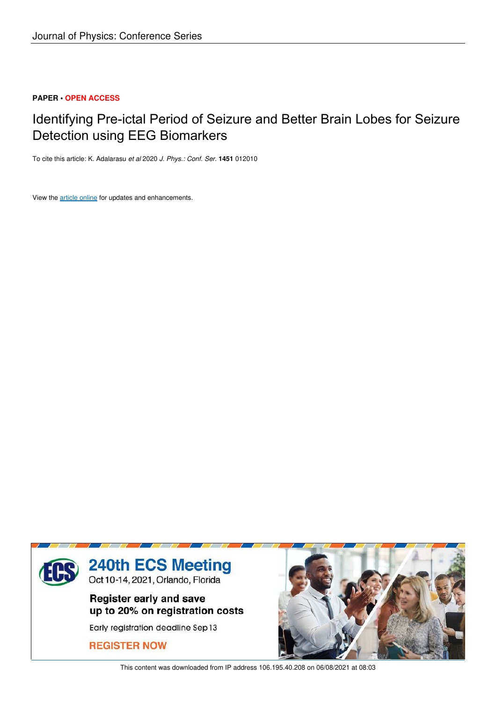## **PAPER • OPEN ACCESS**

# Identifying Pre-ictal Period of Seizure and Better Brain Lobes for Seizure Detection using EEG Biomarkers

To cite this article: K. Adalarasu *et al* 2020 *J. Phys.: Conf. Ser.* **1451** 012010

View the article online for updates and enhancements.



This content was downloaded from IP address 106.195.40.208 on 06/08/2021 at 08:03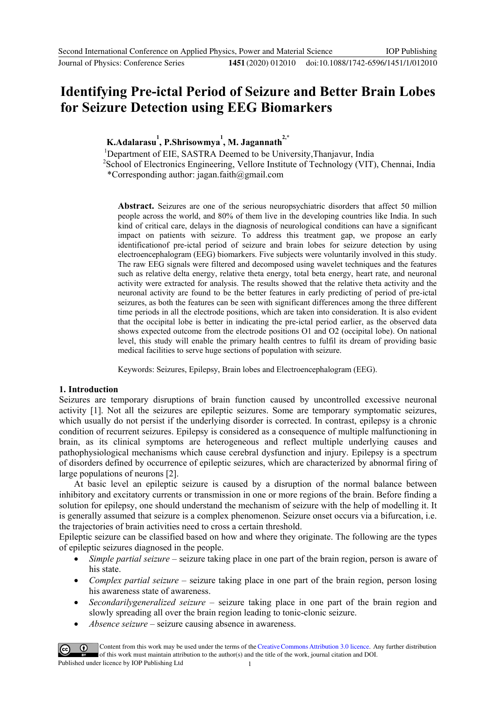IOP Publishing

# **Identifying Pre-ictal Period of Seizure and Better Brain Lobes for Seizure Detection using EEG Biomarkers**

 **K.Adalarasu 1 , P.Shrisowmya 1 , M. Jagannath 2,\*** 

<sup>1</sup>Department of EIE, SASTRA Deemed to be University, Thanjavur, India

<sup>2</sup>School of Electronics Engineering, Vellore Institute of Technology (VIT), Chennai, India \*Corresponding author: jagan.faith@gmail.com

**Abstract.** Seizures are one of the serious neuropsychiatric disorders that affect 50 million people across the world, and 80% of them live in the developing countries like India. In such kind of critical care, delays in the diagnosis of neurological conditions can have a significant impact on patients with seizure. To address this treatment gap, we propose an early identificationof pre-ictal period of seizure and brain lobes for seizure detection by using electroencephalogram (EEG) biomarkers. Five subjects were voluntarily involved in this study. The raw EEG signals were filtered and decomposed using wavelet techniques and the features such as relative delta energy, relative theta energy, total beta energy, heart rate, and neuronal activity were extracted for analysis. The results showed that the relative theta activity and the neuronal activity are found to be the better features in early predicting of period of pre-ictal seizures, as both the features can be seen with significant differences among the three different time periods in all the electrode positions, which are taken into consideration. It is also evident that the occipital lobe is better in indicating the pre-ictal period earlier, as the observed data shows expected outcome from the electrode positions O1 and O2 (occipital lobe). On national level, this study will enable the primary health centres to fulfil its dream of providing basic medical facilities to serve huge sections of population with seizure.

Keywords: Seizures, Epilepsy, Brain lobes and Electroencephalogram (EEG).

### **1. Introduction**

Seizures are temporary disruptions of brain function caused by uncontrolled excessive neuronal activity [1]. Not all the seizures are epileptic seizures. Some are temporary symptomatic seizures, which usually do not persist if the underlying disorder is corrected. In contrast, epilepsy is a chronic condition of recurrent seizures. Epilepsy is considered as a consequence of multiple malfunctioning in brain, as its clinical symptoms are heterogeneous and reflect multiple underlying causes and pathophysiological mechanisms which cause cerebral dysfunction and injury. Epilepsy is a spectrum of disorders defined by occurrence of epileptic seizures, which are characterized by abnormal firing of large populations of neurons [2].

At basic level an epileptic seizure is caused by a disruption of the normal balance between inhibitory and excitatory currents or transmission in one or more regions of the brain. Before finding a solution for epilepsy, one should understand the mechanism of seizure with the help of modelling it. It is generally assumed that seizure is a complex phenomenon. Seizure onset occurs via a bifurcation, i.e. the trajectories of brain activities need to cross a certain threshold.

Epileptic seizure can be classified based on how and where they originate. The following are the types of epileptic seizures diagnosed in the people.

- *Simple partial seizure* seizure taking place in one part of the brain region, person is aware of his state.
- *Complex partial seizure* seizure taking place in one part of the brain region, person losing his awareness state of awareness.
- *Secondarilygeneralized seizure* seizure taking place in one part of the brain region and slowly spreading all over the brain region leading to tonic-clonic seizure.
- *Absence seizure* seizure causing absence in awareness.

Content from this work may be used under the terms of the Creative Commons Attribution 3.0 licence. Any further distribution of this work must maintain attribution to the author(s) and the title of the work, journal citation and DOI. Published under licence by IOP Publishing Ltd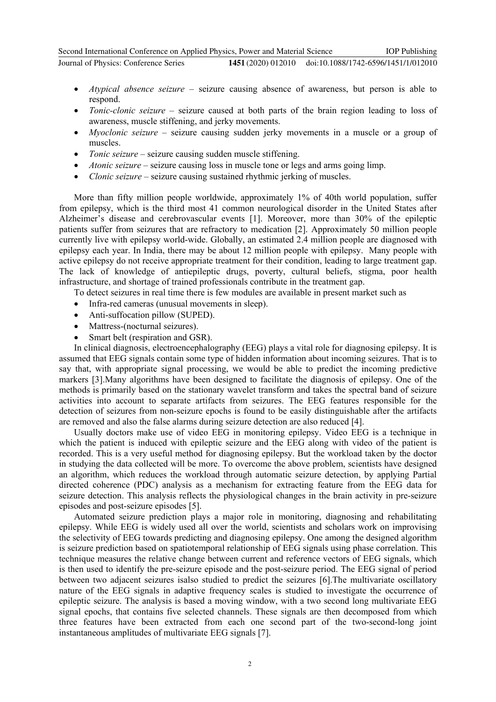Second International Conference on Applied Physics, Power and Material Science **Journal of Physics: Conference Series** IOP Publishing 1451 (2020) 012010 doi:10.1088/1742-6596/1451/1/012010

- *Atypical absence seizure* seizure causing absence of awareness, but person is able to respond.
- *Tonic-clonic seizure* seizure caused at both parts of the brain region leading to loss of awareness, muscle stiffening, and jerky movements.
- *Myoclonic seizure* seizure causing sudden jerky movements in a muscle or a group of muscles.
- *Tonic seizure* seizure causing sudden muscle stiffening.
- *Atonic seizure* seizure causing loss in muscle tone or legs and arms going limp.
- *Clonic seizure* seizure causing sustained rhythmic jerking of muscles.

More than fifty million people worldwide, approximately 1% of 40th world population, suffer from epilepsy, which is the third most 41 common neurological disorder in the United States after Alzheimer's disease and cerebrovascular events [1]. Moreover, more than 30% of the epileptic patients suffer from seizures that are refractory to medication [2]. Approximately 50 million people currently live with epilepsy world-wide. Globally, an estimated 2.4 million people are diagnosed with epilepsy each year. In India, there may be about 12 million people with epilepsy. Many people with active epilepsy do not receive appropriate treatment for their condition, leading to large treatment gap. The lack of knowledge of antiepileptic drugs, poverty, cultural beliefs, stigma, poor health infrastructure, and shortage of trained professionals contribute in the treatment gap.

- To detect seizures in real time there is few modules are available in present market such as
- Infra-red cameras (unusual movements in sleep).
- Anti-suffocation pillow (SUPED).
- Mattress-(nocturnal seizures).
- Smart belt (respiration and GSR).

In clinical diagnosis, electroencephalography (EEG) plays a vital role for diagnosing epilepsy. It is assumed that EEG signals contain some type of hidden information about incoming seizures. That is to say that, with appropriate signal processing, we would be able to predict the incoming predictive markers [3].Many algorithms have been designed to facilitate the diagnosis of epilepsy. One of the methods is primarily based on the stationary wavelet transform and takes the spectral band of seizure activities into account to separate artifacts from seizures. The EEG features responsible for the detection of seizures from non-seizure epochs is found to be easily distinguishable after the artifacts are removed and also the false alarms during seizure detection are also reduced [4].

Usually doctors make use of video EEG in monitoring epilepsy. Video EEG is a technique in which the patient is induced with epileptic seizure and the EEG along with video of the patient is recorded. This is a very useful method for diagnosing epilepsy. But the workload taken by the doctor in studying the data collected will be more. To overcome the above problem, scientists have designed an algorithm, which reduces the workload through automatic seizure detection, by applying Partial directed coherence (PDC) analysis as a mechanism for extracting feature from the EEG data for seizure detection. This analysis reflects the physiological changes in the brain activity in pre-seizure episodes and post-seizure episodes [5].

Automated seizure prediction plays a major role in monitoring, diagnosing and rehabilitating epilepsy. While EEG is widely used all over the world, scientists and scholars work on improvising the selectivity of EEG towards predicting and diagnosing epilepsy. One among the designed algorithm is seizure prediction based on spatiotemporal relationship of EEG signals using phase correlation. This technique measures the relative change between current and reference vectors of EEG signals, which is then used to identify the pre-seizure episode and the post-seizure period. The EEG signal of period between two adjacent seizures isalso studied to predict the seizures [6].The multivariate oscillatory nature of the EEG signals in adaptive frequency scales is studied to investigate the occurrence of epileptic seizure. The analysis is based a moving window, with a two second long multivariate EEG signal epochs, that contains five selected channels. These signals are then decomposed from which three features have been extracted from each one second part of the two-second-long joint instantaneous amplitudes of multivariate EEG signals [7].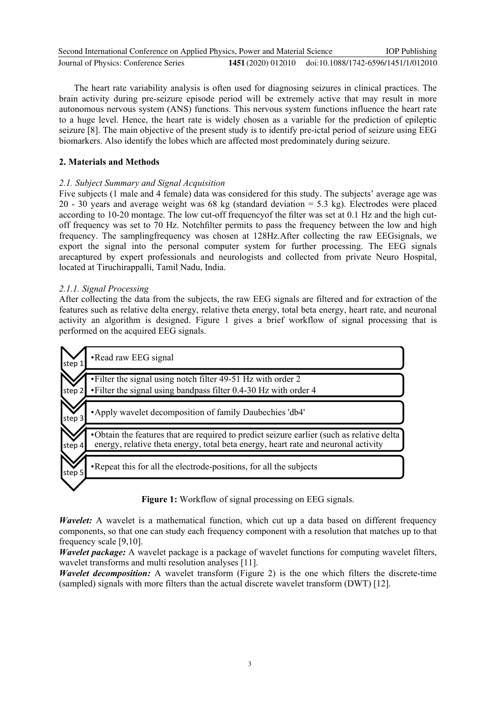| Second International Conference on Applied Physics, Power and Material Science |                                                        | <b>IOP</b> Publishing |
|--------------------------------------------------------------------------------|--------------------------------------------------------|-----------------------|
| Journal of Physics: Conference Series                                          | 1451 (2020) 012010 doi:10.1088/1742-6596/1451/1/012010 |                       |

The heart rate variability analysis is often used for diagnosing seizures in clinical practices. The brain activity during pre-seizure episode period will be extremely active that may result in more autonomous nervous system (ANS) functions. This nervous system functions influence the heart rate to a huge level. Hence, the heart rate is widely chosen as a variable for the prediction of epileptic seizure [8]. The main objective of the present study is to identify pre-ictal period of seizure using EEG biomarkers. Also identify the lobes which are affected most predominately during seizure.

### **2. Materials and Methods**

### *2.1. Subject Summary and Signal Acquisition*

Five subjects (1 male and 4 female) data was considered for this study. The subjects' average age was 20 - 30 years and average weight was 68 kg (standard deviation  $= 5.3$  kg). Electrodes were placed according to 10-20 montage. The low cut-off frequencyof the filter was set at 0.1 Hz and the high cutoff frequency was set to 70 Hz. Notchfilter permits to pass the frequency between the low and high frequency. The samplingfrequency was chosen at 128Hz.After collecting the raw EEGsignals, we export the signal into the personal computer system for further processing. The EEG signals arecaptured by expert professionals and neurologists and collected from private Neuro Hospital, located at Tiruchirappalli, Tamil Nadu, India.

### *2.1.1. Signal Processing*

After collecting the data from the subjects, the raw EEG signals are filtered and for extraction of the features such as relative delta energy, relative theta energy, total beta energy, heart rate, and neuronal activity an algorithm is designed. Figure 1 gives a brief workflow of signal processing that is performed on the acquired EEG signals.



Figure 1: Workflow of signal processing on EEG signals.

*Wavelet:* A wavelet is a mathematical function, which cut up a data based on different frequency components, so that one can study each frequency component with a resolution that matches up to that frequency scale [9,10].

*Wavelet package:* A wavelet package is a package of wavelet functions for computing wavelet filters, wavelet transforms and multi resolution analyses [11].

*Wavelet decomposition:* A wavelet transform (Figure 2) is the one which filters the discrete-time (sampled) signals with more filters than the actual discrete wavelet transform (DWT) [12].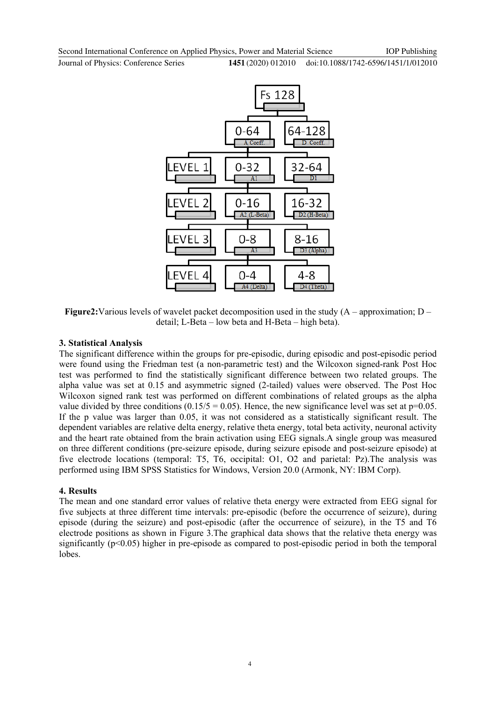IOP Publishing

**Journal of Physics: Conference Series** 

1451 (2020) 012010 doi:10.1088/1742-6596/1451/1/012010



**Figure2:**Various levels of wavelet packet decomposition used in the study (A – approximation; D – detail; L-Beta – low beta and H-Beta – high beta).

#### **3. Statistical Analysis**

The significant difference within the groups for pre-episodic, during episodic and post-episodic period were found using the Friedman test (a non-parametric test) and the Wilcoxon signed-rank Post Hoc test was performed to find the statistically significant difference between two related groups. The alpha value was set at 0.15 and asymmetric signed (2-tailed) values were observed. The Post Hoc Wilcoxon signed rank test was performed on different combinations of related groups as the alpha value divided by three conditions  $(0.15/5 = 0.05)$ . Hence, the new significance level was set at p=0.05. If the p value was larger than 0.05, it was not considered as a statistically significant result. The dependent variables are relative delta energy, relative theta energy, total beta activity, neuronal activity and the heart rate obtained from the brain activation using EEG signals.A single group was measured on three different conditions (pre-seizure episode, during seizure episode and post-seizure episode) at five electrode locations (temporal: T5, T6, occipital: O1, O2 and parietal: Pz).The analysis was performed using IBM SPSS Statistics for Windows, Version 20.0 (Armonk, NY: IBM Corp).

#### **4. Results**

The mean and one standard error values of relative theta energy were extracted from EEG signal for five subjects at three different time intervals: pre-episodic (before the occurrence of seizure), during episode (during the seizure) and post-episodic (after the occurrence of seizure), in the T5 and T6 electrode positions as shown in Figure 3.The graphical data shows that the relative theta energy was significantly  $(p<0.05)$  higher in pre-episode as compared to post-episodic period in both the temporal lobes.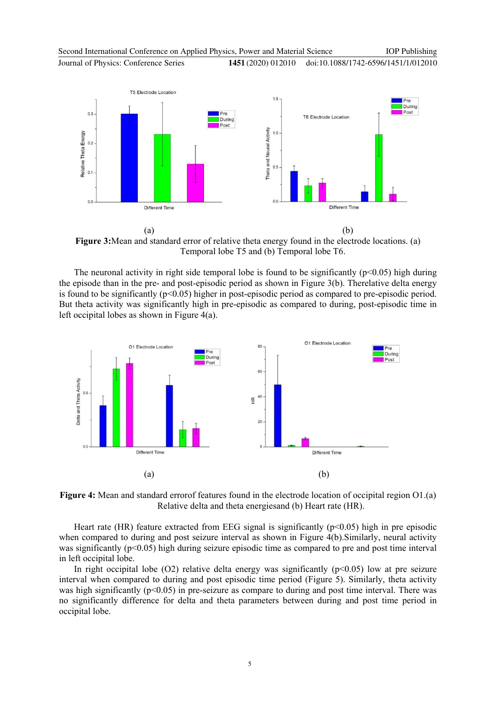

**Figure 3:**Mean and standard error of relative theta energy found in the electrode locations. (a) Temporal lobe T5 and (b) Temporal lobe T6.

The neuronal activity in right side temporal lobe is found to be significantly  $(p<0.05)$  high during the episode than in the pre- and post-episodic period as shown in Figure 3(b). Therelative delta energy is found to be significantly  $(p<0.05)$  higher in post-episodic period as compared to pre-episodic period. But theta activity was significantly high in pre-episodic as compared to during, post-episodic time in left occipital lobes as shown in Figure 4(a).



**Figure 4:** Mean and standard errorof features found in the electrode location of occipital region O1.(a) Relative delta and theta energiesand (b) Heart rate (HR).

Heart rate (HR) feature extracted from EEG signal is significantly ( $p$ <0.05) high in pre episodic when compared to during and post seizure interval as shown in Figure 4(b). Similarly, neural activity was significantly ( $p<0.05$ ) high during seizure episodic time as compared to pre and post time interval in left occipital lobe.

In right occipital lobe  $(O2)$  relative delta energy was significantly  $(p<0.05)$  low at pre seizure interval when compared to during and post episodic time period (Figure 5). Similarly, theta activity was high significantly  $(p<0.05)$  in pre-seizure as compare to during and post time interval. There was no significantly difference for delta and theta parameters between during and post time period in occipital lobe.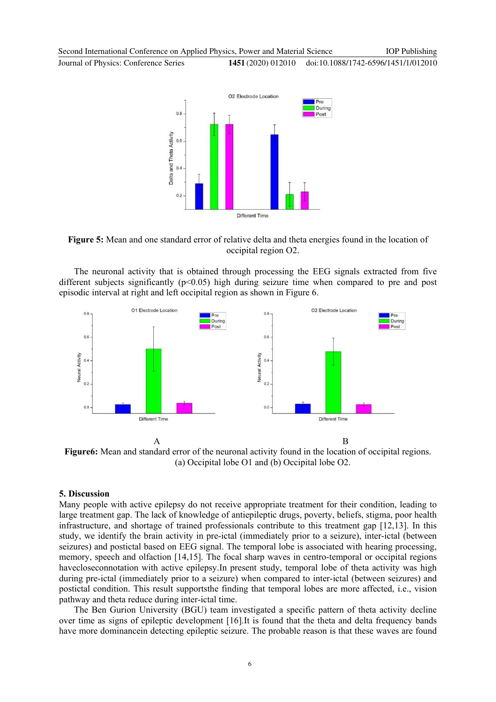

**Figure 5:** Mean and one standard error of relative delta and theta energies found in the location of occipital region O2.

The neuronal activity that is obtained through processing the EEG signals extracted from five different subjects significantly  $(p<0.05)$  high during seizure time when compared to pre and post episodic interval at right and left occipital region as shown in Figure 6.



A B **Figure6:** Mean and standard error of the neuronal activity found in the location of occipital regions. (a) Occipital lobe O1 and (b) Occipital lobe O2.

#### **5. Discussion**

Many people with active epilepsy do not receive appropriate treatment for their condition, leading to large treatment gap. The lack of knowledge of antiepileptic drugs, poverty, beliefs, stigma, poor health infrastructure, and shortage of trained professionals contribute to this treatment gap [12,13]. In this study, we identify the brain activity in pre-ictal (immediately prior to a seizure), inter-ictal (between seizures) and postictal based on EEG signal. The temporal lobe is associated with hearing processing, memory, speech and olfaction [14,15]. The focal sharp waves in centro-temporal or occipital regions havecloseconnotation with active epilepsy.In present study, temporal lobe of theta activity was high during pre-ictal (immediately prior to a seizure) when compared to inter-ictal (between seizures) and postictal condition. This result supportsthe finding that temporal lobes are more affected, i.e., vision pathway and theta reduce during inter-ictal time.

The Ben Gurion University (BGU) team investigated a specific pattern of theta activity decline over time as signs of epileptic development [16].It is found that the theta and delta frequency bands have more dominancein detecting epileptic seizure. The probable reason is that these waves are found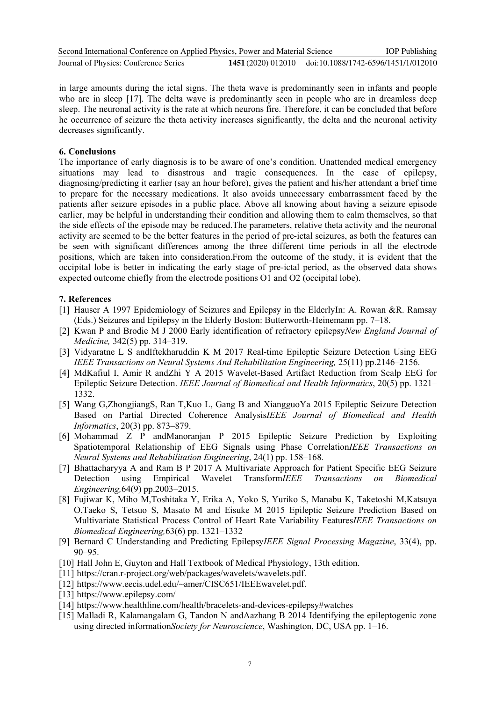| Second International Conference on Applied Physics, Power and Material Science |                                                        | <b>IOP Publishing</b> |
|--------------------------------------------------------------------------------|--------------------------------------------------------|-----------------------|
| Journal of Physics: Conference Series                                          | 1451 (2020) 012010 doi:10.1088/1742-6596/1451/1/012010 |                       |

in large amounts during the ictal signs. The theta wave is predominantly seen in infants and people who are in sleep [17]. The delta wave is predominantly seen in people who are in dreamless deep sleep. The neuronal activity is the rate at which neurons fire. Therefore, it can be concluded that before he occurrence of seizure the theta activity increases significantly, the delta and the neuronal activity decreases significantly.

### **6. Conclusions**

The importance of early diagnosis is to be aware of one's condition. Unattended medical emergency situations may lead to disastrous and tragic consequences. In the case of epilepsy, diagnosing/predicting it earlier (say an hour before), gives the patient and his/her attendant a brief time to prepare for the necessary medications. It also avoids unnecessary embarrassment faced by the patients after seizure episodes in a public place. Above all knowing about having a seizure episode earlier, may be helpful in understanding their condition and allowing them to calm themselves, so that the side effects of the episode may be reduced.The parameters, relative theta activity and the neuronal activity are seemed to be the better features in the period of pre-ictal seizures, as both the features can be seen with significant differences among the three different time periods in all the electrode positions, which are taken into consideration.From the outcome of the study, it is evident that the occipital lobe is better in indicating the early stage of pre-ictal period, as the observed data shows expected outcome chiefly from the electrode positions O1 and O2 (occipital lobe).

### **7. References**

- [1] Hauser A 1997 Epidemiology of Seizures and Epilepsy in the ElderlyIn: A. Rowan &R. Ramsay (Eds.) Seizures and Epilepsy in the Elderly Boston: Butterworth-Heinemann pp. 7–18.
- [2] Kwan P and Brodie M J 2000 Early identification of refractory epilepsy*New England Journal of Medicine,* 342(5) pp. 314–319.
- [3] Vidyaratne L S andIftekharuddin K M 2017 Real-time Epileptic Seizure Detection Using EEG *IEEE Transactions on Neural Systems And Rehabilitation Engineering,* 25(11) pp.2146–2156.
- [4] MdKafiul I, Amir R andZhi Y A 2015 Wavelet-Based Artifact Reduction from Scalp EEG for Epileptic Seizure Detection. *IEEE Journal of Biomedical and Health Informatics*, 20(5) pp. 1321– 1332.
- [5] Wang G,ZhongjiangS, Ran T,Kuo L, Gang B and XiangguoYa 2015 Epileptic Seizure Detection Based on Partial Directed Coherence Analysis*IEEE Journal of Biomedical and Health Informatics*, 20(3) pp. 873–879.
- [6] Mohammad Z P andManoranjan P 2015 Epileptic Seizure Prediction by Exploiting Spatiotemporal Relationship of EEG Signals using Phase Correlation*IEEE Transactions on Neural Systems and Rehabilitation Engineering*, 24(1) pp. 158–168.
- [7] Bhattacharyya A and Ram B P 2017 A Multivariate Approach for Patient Specific EEG Seizure Detection using Empirical Wavelet Transform*IEEE Transactions on Biomedical Engineering,*64(9) pp.2003–2015.
- [8] Fujiwar K, Miho M,Toshitaka Y, Erika A, Yoko S, Yuriko S, Manabu K, Taketoshi M,Katsuya O,Taeko S, Tetsuo S, Masato M and Eisuke M 2015 Epileptic Seizure Prediction Based on Multivariate Statistical Process Control of Heart Rate Variability Features*IEEE Transactions on Biomedical Engineering,*63(6) pp. 1321–1332
- [9] Bernard C Understanding and Predicting Epilepsy*IEEE Signal Processing Magazine*, 33(4), pp. 90–95.
- [10] Hall John E, Guyton and Hall Textbook of Medical Physiology, 13th edition.
- [11] https://cran.r-project.org/web/packages/wavelets/wavelets.pdf.
- [12] https://www.eecis.udel.edu/~amer/CISC651/IEEEwavelet.pdf.
- [13] https://www.epilepsy.com/
- [14] https://www.healthline.com/health/bracelets-and-devices-epilepsy#watches
- [15] Malladi R, Kalamangalam G, Tandon N andAazhang B 2014 Identifying the epileptogenic zone using directed information*Society for Neuroscience*, Washington, DC, USA pp. 1–16.